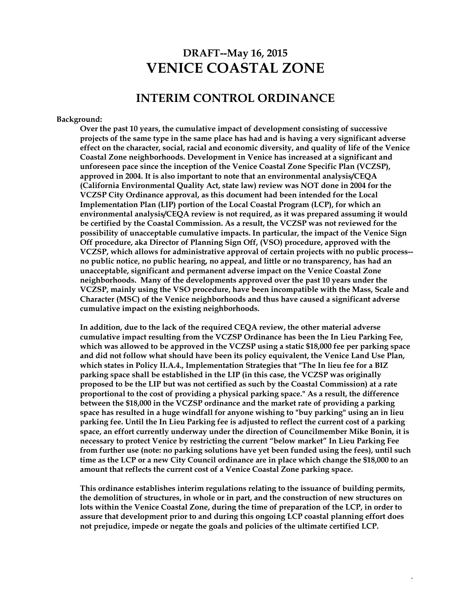# **DRAFT--May 16, 2015 VENICE COASTAL ZONE**

### **INTERIM CONTROL ORDINANCE**

#### **Background:**

**Over the past 10 years, the cumulative impact of development consisting of successive projects of the same type in the same place has had and is having a very significant adverse effect on the character, social, racial and economic diversity, and quality of life of the Venice Coastal Zone neighborhoods. Development in Venice has increased at a significant and unforeseen pace since the inception of the Venice Coastal Zone Specific Plan (VCZSP), approved in 2004. It is also important to note that an environmental analysis/CEQA (California Environmental Quality Act, state law) review was NOT done in 2004 for the VCZSP City Ordinance approval, as this document had been intended for the Local Implementation Plan (LIP) portion of the Local Coastal Program (LCP), for which an environmental analysis/CEQA review is not required, as it was prepared assuming it would be certified by the Coastal Commission. As a result, the VCZSP was not reviewed for the possibility of unacceptable cumulative impacts. In particular, the impact of the Venice Sign Off procedure, aka Director of Planning Sign Off, (VSO) procedure, approved with the VCZSP, which allows for administrative approval of certain projects with no public process- no public notice, no public hearing, no appeal, and little or no transparency, has had an unacceptable, significant and permanent adverse impact on the Venice Coastal Zone neighborhoods. Many of the developments approved over the past 10 years under the VCZSP, mainly using the VSO procedure, have been incompatible with the Mass, Scale and Character (MSC) of the Venice neighborhoods and thus have caused a significant adverse cumulative impact on the existing neighborhoods.**

**In addition, due to the lack of the required CEQA review, the other material adverse cumulative impact resulting from the VCZSP Ordinance has been the In Lieu Parking Fee, which was allowed to be approved in the VCZSP using a static \$18,000 fee per parking space and did not follow what should have been its policy equivalent, the Venice Land Use Plan, which states in Policy II.A.4., Implementation Strategies that "The In lieu fee for a BIZ parking space shall be established in the LIP (in this case, the VCZSP was originally proposed to be the LIP but was not certified as such by the Coastal Commission) at a rate proportional to the cost of providing a physical parking space." As a result, the difference between the \$18,000 in the VCZSP ordinance and the market rate of providing a parking space has resulted in a huge windfall for anyone wishing to "buy parking" using an in lieu parking fee. Until the In Lieu Parking fee is adjusted to reflect the current cost of a parking space, an effort currently underway under the direction of Councilmember Mike Bonin, it is necessary to protect Venice by restricting the current "below market" In Lieu Parking Fee from further use (note: no parking solutions have yet been funded using the fees), until such time as the LCP or a new City Council ordinance are in place which change the \$18,000 to an amount that reflects the current cost of a Venice Coastal Zone parking space.**

**This ordinance establishes interim regulations relating to the issuance of building permits, the demolition of structures, in whole or in part, and the construction of new structures on lots within the Venice Coastal Zone, during the time of preparation of the LCP, in order to assure that development prior to and during this ongoing LCP coastal planning effort does not prejudice, impede or negate the goals and policies of the ultimate certified LCP.**

 $\ddot{\phantom{1}}$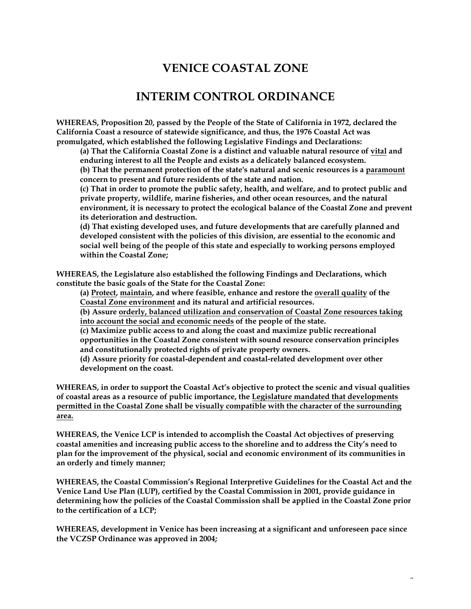# **VENICE COASTAL ZONE**

### **INTERIM CONTROL ORDINANCE**

**WHEREAS, Proposition 20, passed by the People of the State of California in 1972, declared the California Coast a resource of statewide significance, and thus, the 1976 Coastal Act was promulgated, which established the following Legislative Findings and Declarations:**

**(a) That the California Coastal Zone is a distinct and valuable natural resource of vital and enduring interest to all the People and exists as a delicately balanced ecosystem.**

**(b) That the permanent protection of the state's natural and scenic resources is a paramount concern to present and future residents of the state and nation.**

**(c) That in order to promote the public safety, health, and welfare, and to protect public and private property, wildlife, marine fisheries, and other ocean resources, and the natural environment, it is necessary to protect the ecological balance of the Coastal Zone and prevent its deterioration and destruction.**

**(d) That existing developed uses, and future developments that are carefully planned and developed consistent with the policies of this division, are essential to the economic and social well being of the people of this state and especially to working persons employed within the Coastal Zone;**

**WHEREAS, the Legislature also established the following Findings and Declarations, which constitute the basic goals of the State for the Coastal Zone:**

**(a) Protect, maintain, and where feasible, enhance and restore the overall quality of the Coastal Zone environment and its natural and artificial resources.**

**(b) Assure orderly, balanced utilization and conservation of Coastal Zone resources taking into account the social and economic needs of the people of the state.**

**(c) Maximize public access to and along the coast and maximize public recreational opportunities in the Coastal Zone consistent with sound resource conservation principles and constitutionally protected rights of private property owners.**

**(d) Assure priority for coastal-dependent and coastal-related development over other development on the coast.**

**WHEREAS, in order to support the Coastal Act's objective to protect the scenic and visual qualities of coastal areas as a resource of public importance, the Legislature mandated that developments permitted in the Coastal Zone shall be visually compatible with the character of the surrounding area.**

**WHEREAS, the Venice LCP is intended to accomplish the Coastal Act objectives of preserving coastal amenities and increasing public access to the shoreline and to address the City's need to plan for the improvement of the physical, social and economic environment of its communities in an orderly and timely manner;**

**WHEREAS, the Coastal Commission's Regional Interpretive Guidelines for the Coastal Act and the Venice Land Use Plan (LUP), certified by the Coastal Commission in 2001, provide guidance in determining how the policies of the Coastal Commission shall be applied in the Coastal Zone prior to the certification of a LCP;**

**WHEREAS, development in Venice has been increasing at a significant and unforeseen pace since the VCZSP Ordinance was approved in 2004;**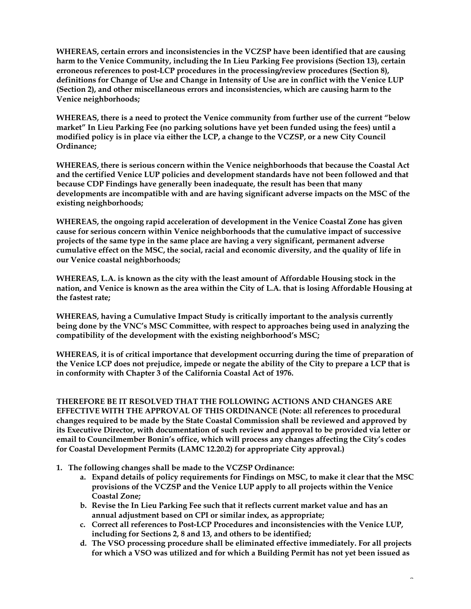**WHEREAS, certain errors and inconsistencies in the VCZSP have been identified that are causing harm to the Venice Community, including the In Lieu Parking Fee provisions (Section 13), certain erroneous references to post-LCP procedures in the processing/review procedures (Section 8), definitions for Change of Use and Change in Intensity of Use are in conflict with the Venice LUP (Section 2), and other miscellaneous errors and inconsistencies, which are causing harm to the Venice neighborhoods;**

**WHEREAS, there is a need to protect the Venice community from further use of the current "below market" In Lieu Parking Fee (no parking solutions have yet been funded using the fees) until a modified policy is in place via either the LCP, a change to the VCZSP, or a new City Council Ordinance;**

**WHEREAS, there is serious concern within the Venice neighborhoods that because the Coastal Act and the certified Venice LUP policies and development standards have not been followed and that because CDP Findings have generally been inadequate, the result has been that many developments are incompatible with and are having significant adverse impacts on the MSC of the existing neighborhoods;**

**WHEREAS, the ongoing rapid acceleration of development in the Venice Coastal Zone has given cause for serious concern within Venice neighborhoods that the cumulative impact of successive projects of the same type in the same place are having a very significant, permanent adverse cumulative effect on the MSC, the social, racial and economic diversity, and the quality of life in our Venice coastal neighborhoods;**

**WHEREAS, L.A. is known as the city with the least amount of Affordable Housing stock in the nation, and Venice is known as the area within the City of L.A. that is losing Affordable Housing at the fastest rate;**

**WHEREAS, having a Cumulative Impact Study is critically important to the analysis currently being done by the VNC's MSC Committee, with respect to approaches being used in analyzing the compatibility of the development with the existing neighborhood's MSC;**

**WHEREAS, it is of critical importance that development occurring during the time of preparation of the Venice LCP does not prejudice, impede or negate the ability of the City to prepare a LCP that is in conformity with Chapter 3 of the California Coastal Act of 1976.**

**THEREFORE BE IT RESOLVED THAT THE FOLLOWING ACTIONS AND CHANGES ARE EFFECTIVE WITH THE APPROVAL OF THIS ORDINANCE (Note: all references to procedural changes required to be made by the State Coastal Commission shall be reviewed and approved by its Executive Director, with documentation of such review and approval to be provided via letter or email to Councilmember Bonin's office, which will process any changes affecting the City's codes for Coastal Development Permits (LAMC 12.20.2) for appropriate City approval.)**

- **1. The following changes shall be made to the VCZSP Ordinance:**
	- **a. Expand details of policy requirements for Findings on MSC, to make it clear that the MSC provisions of the VCZSP and the Venice LUP apply to all projects within the Venice Coastal Zone;**
	- **b. Revise the In Lieu Parking Fee such that it reflects current market value and has an annual adjustment based on CPI or similar index, as appropriate;**
	- **c. Correct all references to Post-LCP Procedures and inconsistencies with the Venice LUP, including for Sections 2, 8 and 13, and others to be identified;**
	- **d. The VSO processing procedure shall be eliminated effective immediately. For all projects for which a VSO was utilized and for which a Building Permit has not yet been issued as**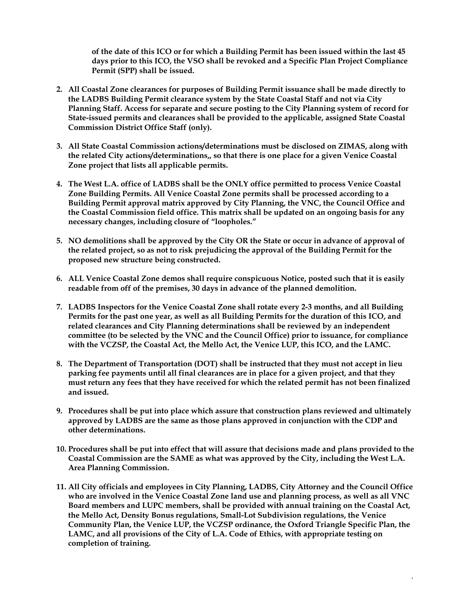**of the date of this ICO or for which a Building Permit has been issued within the last 45 days prior to this ICO, the VSO shall be revoked and a Specific Plan Project Compliance Permit (SPP) shall be issued.**

- **2. All Coastal Zone clearances for purposes of Building Permit issuance shall be made directly to the LADBS Building Permit clearance system by the State Coastal Staff and not via City Planning Staff. Access for separate and secure posting to the City Planning system of record for State-issued permits and clearances shall be provided to the applicable, assigned State Coastal Commission District Office Staff (only).**
- **3. All State Coastal Commission actions/determinations must be disclosed on ZIMAS, along with the related City actions/determinations,, so that there is one place for a given Venice Coastal Zone project that lists all applicable permits.**
- **4. The West L.A. office of LADBS shall be the ONLY office permitted to process Venice Coastal Zone Building Permits. All Venice Coastal Zone permits shall be processed according to a Building Permit approval matrix approved by City Planning, the VNC, the Council Office and the Coastal Commission field office. This matrix shall be updated on an ongoing basis for any necessary changes, including closure of "loopholes."**
- **5. NO demolitions shall be approved by the City OR the State or occur in advance of approval of the related project, so as not to risk prejudicing the approval of the Building Permit for the proposed new structure being constructed.**
- **6. ALL Venice Coastal Zone demos shall require conspicuous Notice, posted such that it is easily readable from off of the premises, 30 days in advance of the planned demolition.**
- **7. LADBS Inspectors for the Venice Coastal Zone shall rotate every 2-3 months, and all Building Permits for the past one year, as well as all Building Permits for the duration of this ICO, and related clearances and City Planning determinations shall be reviewed by an independent committee (to be selected by the VNC and the Council Office) prior to issuance, for compliance with the VCZSP, the Coastal Act, the Mello Act, the Venice LUP, this ICO, and the LAMC.**
- **8. The Department of Transportation (DOT) shall be instructed that they must not accept in lieu parking fee payments until all final clearances are in place for a given project, and that they must return any fees that they have received for which the related permit has not been finalized and issued.**
- **9. Procedures shall be put into place which assure that construction plans reviewed and ultimately approved by LADBS are the same as those plans approved in conjunction with the CDP and other determinations.**
- **10. Procedures shall be put into effect that will assure that decisions made and plans provided to the Coastal Commission are the SAME as what was approved by the City, including the West L.A. Area Planning Commission.**
- **11. All City officials and employees in City Planning, LADBS, City Attorney and the Council Office who are involved in the Venice Coastal Zone land use and planning process, as well as all VNC Board members and LUPC members, shall be provided with annual training on the Coastal Act, the Mello Act, Density Bonus regulations, Small-Lot Subdivision regulations, the Venice Community Plan, the Venice LUP, the VCZSP ordinance, the Oxford Triangle Specific Plan, the LAMC, and all provisions of the City of L.A. Code of Ethics, with appropriate testing on completion of training.**

 $\ddot{\phantom{1}}$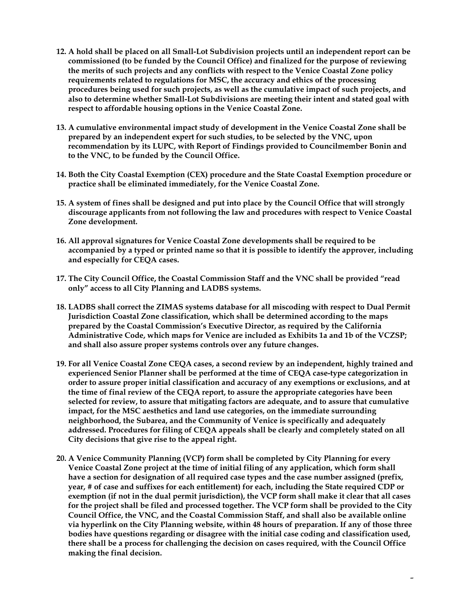- **12. A hold shall be placed on all Small-Lot Subdivision projects until an independent report can be commissioned (to be funded by the Council Office) and finalized for the purpose of reviewing the merits of such projects and any conflicts with respect to the Venice Coastal Zone policy requirements related to regulations for MSC, the accuracy and ethics of the processing procedures being used for such projects, as well as the cumulative impact of such projects, and also to determine whether Small-Lot Subdivisions are meeting their intent and stated goal with respect to affordable housing options in the Venice Coastal Zone.**
- **13. A cumulative environmental impact study of development in the Venice Coastal Zone shall be prepared by an independent expert for such studies, to be selected by the VNC, upon recommendation by its LUPC, with Report of Findings provided to Councilmember Bonin and to the VNC, to be funded by the Council Office.**
- **14. Both the City Coastal Exemption (CEX) procedure and the State Coastal Exemption procedure or practice shall be eliminated immediately, for the Venice Coastal Zone.**
- **15. A system of fines shall be designed and put into place by the Council Office that will strongly discourage applicants from not following the law and procedures with respect to Venice Coastal Zone development.**
- **16. All approval signatures for Venice Coastal Zone developments shall be required to be accompanied by a typed or printed name so that it is possible to identify the approver, including and especially for CEQA cases.**
- **17. The City Council Office, the Coastal Commission Staff and the VNC shall be provided "read only" access to all City Planning and LADBS systems.**
- **18. LADBS shall correct the ZIMAS systems database for all miscoding with respect to Dual Permit Jurisdiction Coastal Zone classification, which shall be determined according to the maps prepared by the Coastal Commission's Executive Director, as required by the California Administrative Code, which maps for Venice are included as Exhibits 1a and 1b of the VCZSP; and shall also assure proper systems controls over any future changes.**
- **19. For all Venice Coastal Zone CEQA cases, a second review by an independent, highly trained and experienced Senior Planner shall be performed at the time of CEQA case-type categorization in order to assure proper initial classification and accuracy of any exemptions or exclusions, and at the time of final review of the CEQA report, to assure the appropriate categories have been selected for review, to assure that mitigating factors are adequate, and to assure that cumulative impact, for the MSC aesthetics and land use categories, on the immediate surrounding neighborhood, the Subarea, and the Community of Venice is specifically and adequately addressed. Procedures for filing of CEQA appeals shall be clearly and completely stated on all City decisions that give rise to the appeal right.**
- **20. A Venice Community Planning (VCP) form shall be completed by City Planning for every Venice Coastal Zone project at the time of initial filing of any application, which form shall have a section for designation of all required case types and the case number assigned (prefix, year, # of case and suffixes for each entitlement) for each, including the State required CDP or exemption (if not in the dual permit jurisdiction), the VCP form shall make it clear that all cases for the project shall be filed and processed together. The VCP form shall be provided to the City Council Office, the VNC, and the Coastal Commission Staff, and shall also be available online via hyperlink on the City Planning website, within 48 hours of preparation. If any of those three bodies have questions regarding or disagree with the initial case coding and classification used, there shall be a process for challenging the decision on cases required, with the Council Office making the final decision.**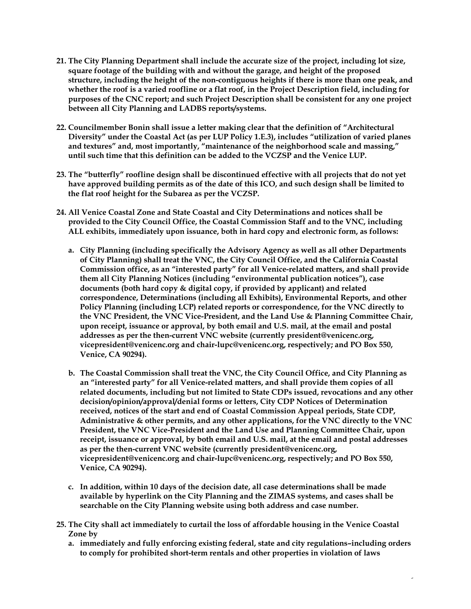- **21. The City Planning Department shall include the accurate size of the project, including lot size, square footage of the building with and without the garage, and height of the proposed structure, including the height of the non-contiguous heights if there is more than one peak, and whether the roof is a varied roofline or a flat roof, in the Project Description field, including for purposes of the CNC report; and such Project Description shall be consistent for any one project between all City Planning and LADBS reports/systems.**
- **22. Councilmember Bonin shall issue a letter making clear that the definition of "Architectural Diversity" under the Coastal Act (as per LUP Policy 1.E.3), includes "utilization of varied planes and textures" and, most importantly, "maintenance of the neighborhood scale and massing," until such time that this definition can be added to the VCZSP and the Venice LUP.**
- **23. The "butterfly" roofline design shall be discontinued effective with all projects that do not yet have approved building permits as of the date of this ICO, and such design shall be limited to the flat roof height for the Subarea as per the VCZSP.**
- **24. All Venice Coastal Zone and State Coastal and City Determinations and notices shall be provided to the City Council Office, the Coastal Commission Staff and to the VNC, including ALL exhibits, immediately upon issuance, both in hard copy and electronic form, as follows:**
	- **a. City Planning (including specifically the Advisory Agency as well as all other Departments of City Planning) shall treat the VNC, the City Council Office, and the California Coastal Commission office, as an "interested party" for all Venice-related matters, and shall provide them all City Planning Notices (including "environmental publication notices"), case documents (both hard copy & digital copy, if provided by applicant) and related correspondence, Determinations (including all Exhibits), Environmental Reports, and other Policy Planning (including LCP) related reports or correspondence, for the VNC directly to the VNC President, the VNC Vice-President, and the Land Use & Planning Committee Chair, upon receipt, issuance or approval, by both email and U.S. mail, at the email and postal addresses as per the then-current VNC website (currently president@venicenc.org, vicepresident@venicenc.org and chair-lupc@venicenc.org, respectively; and PO Box 550, Venice, CA 90294).**
	- **b. The Coastal Commission shall treat the VNC, the City Council Office, and City Planning as an "interested party" for all Venice-related matters, and shall provide them copies of all related documents, including but not limited to State CDPs issued, revocations and any other decision/opinion/approval/denial forms or letters, City CDP Notices of Determination received, notices of the start and end of Coastal Commission Appeal periods, State CDP, Administrative & other permits, and any other applications, for the VNC directly to the VNC President, the VNC Vice-President and the Land Use and Planning Committee Chair, upon receipt, issuance or approval, by both email and U.S. mail, at the email and postal addresses as per the then-current VNC website (currently president@venicenc.org, vicepresident@venicenc.org and chair-lupc@venicenc.org, respectively; and PO Box 550, Venice, CA 90294).**
	- **c. In addition, within 10 days of the decision date, all case determinations shall be made available by hyperlink on the City Planning and the ZIMAS systems, and cases shall be searchable on the City Planning website using both address and case number.**
- **25. The City shall act immediately to curtail the loss of affordable housing in the Venice Coastal Zone by** 
	- **a. immediately and fully enforcing existing federal, state and city regulations–including orders to comply for prohibited short-term rentals and other properties in violation of laws**

6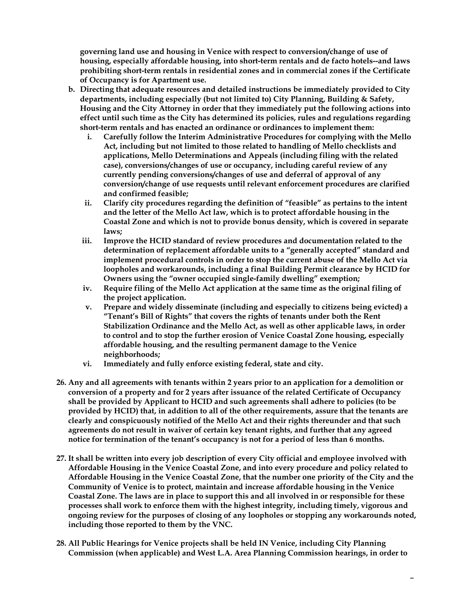**governing land use and housing in Venice with respect to conversion/change of use of housing, especially affordable housing, into short-term rentals and de facto hotels--and laws prohibiting short-term rentals in residential zones and in commercial zones if the Certificate of Occupancy is for Apartment use.** 

- **b. Directing that adequate resources and detailed instructions be immediately provided to City departments, including especially (but not limited to) City Planning, Building & Safety, Housing and the City Attorney in order that they immediately put the following actions into effect until such time as the City has determined its policies, rules and regulations regarding short-term rentals and has enacted an ordinance or ordinances to implement them:**
	- **i. Carefully follow the Interim Administrative Procedures for complying with the Mello Act, including but not limited to those related to handling of Mello checklists and applications, Mello Determinations and Appeals (including filing with the related case), conversions/changes of use or occupancy, including careful review of any currently pending conversions/changes of use and deferral of approval of any conversion/change of use requests until relevant enforcement procedures are clarified and confirmed feasible;**
	- **ii. Clarify city procedures regarding the definition of "feasible" as pertains to the intent and the letter of the Mello Act law, which is to protect affordable housing in the Coastal Zone and which is not to provide bonus density, which is covered in separate laws;**
	- **iii. Improve the HCID standard of review procedures and documentation related to the determination of replacement affordable units to a "generally accepted" standard and implement procedural controls in order to stop the current abuse of the Mello Act via loopholes and workarounds, including a final Building Permit clearance by HCID for Owners using the "owner occupied single-family dwelling" exemption;**
	- **iv. Require filing of the Mello Act application at the same time as the original filing of the project application.**
	- **v. Prepare and widely disseminate (including and especially to citizens being evicted) a "Tenant's Bill of Rights" that covers the rights of tenants under both the Rent Stabilization Ordinance and the Mello Act, as well as other applicable laws, in order to control and to stop the further erosion of Venice Coastal Zone housing, especially affordable housing, and the resulting permanent damage to the Venice neighborhoods;**
	- **vi. Immediately and fully enforce existing federal, state and city.**
- **26. Any and all agreements with tenants within 2 years prior to an application for a demolition or conversion of a property and for 2 years after issuance of the related Certificate of Occupancy shall be provided by Applicant to HCID and such agreements shall adhere to policies (to be provided by HCID) that, in addition to all of the other requirements, assure that the tenants are clearly and conspicuously notified of the Mello Act and their rights thereunder and that such agreements do not result in waiver of certain key tenant rights, and further that any agreed notice for termination of the tenant's occupancy is not for a period of less than 6 months.**
- **27. It shall be written into every job description of every City official and employee involved with Affordable Housing in the Venice Coastal Zone, and into every procedure and policy related to Affordable Housing in the Venice Coastal Zone, that the number one priority of the City and the Community of Venice is to protect, maintain and increase affordable housing in the Venice Coastal Zone. The laws are in place to support this and all involved in or responsible for these processes shall work to enforce them with the highest integrity, including timely, vigorous and ongoing review for the purposes of closing of any loopholes or stopping any workarounds noted, including those reported to them by the VNC.**
- **28. All Public Hearings for Venice projects shall be held IN Venice, including City Planning Commission (when applicable) and West L.A. Area Planning Commission hearings, in order to**